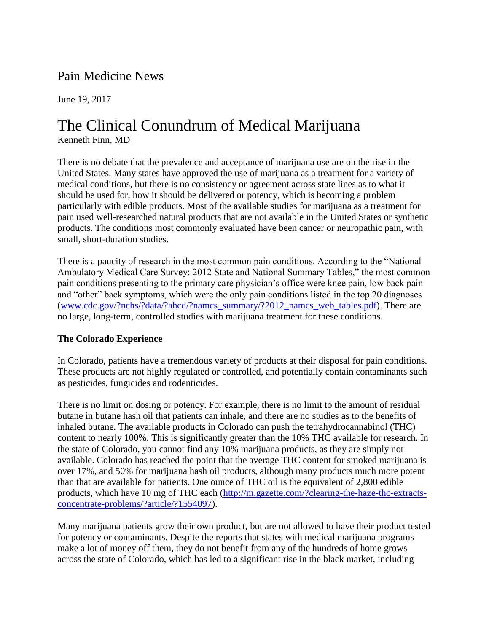## Pain Medicine News

June 19, 2017

## The Clinical Conundrum of Medical Marijuana Kenneth Finn, MD

There is no debate that the prevalence and acceptance of marijuana use are on the rise in the United States. Many states have approved the use of marijuana as a treatment for a variety of medical conditions, but there is no consistency or agreement across state lines as to what it should be used for, how it should be delivered or potency, which is becoming a problem particularly with edible products. Most of the available studies for marijuana as a treatment for pain used well-researched natural products that are not available in the United States or synthetic products. The conditions most commonly evaluated have been cancer or neuropathic pain, with small, short-duration studies.

There is a paucity of research in the most common pain conditions. According to the "National Ambulatory Medical Care Survey: 2012 State and National Summary Tables," the most common pain conditions presenting to the primary care physician's office were knee pain, low back pain and "other" back symptoms, which were the only pain conditions listed in the top 20 diagnoses [\(www.cdc.gov/?nchs/?data/?ahcd/?namcs\\_summary/?2012\\_namcs\\_web\\_tables.pdf\)](http://www.cdc.gov/nchs/data/ahcd/namcs_summary/2012_namcs_web_tables.pdf). There are no large, long-term, controlled studies with marijuana treatment for these conditions.

## **The Colorado Experience**

In Colorado, patients have a tremendous variety of products at their disposal for pain conditions. These products are not highly regulated or controlled, and potentially contain contaminants such as pesticides, fungicides and rodenticides.

There is no limit on dosing or potency. For example, there is no limit to the amount of residual butane in butane hash oil that patients can inhale, and there are no studies as to the benefits of inhaled butane. The available products in Colorado can push the tetrahydrocannabinol (THC) content to nearly 100%. This is significantly greater than the 10% THC available for research. In the state of Colorado, you cannot find any 10% marijuana products, as they are simply not available. Colorado has reached the point that the average THC content for smoked marijuana is over 17%, and 50% for marijuana hash oil products, although many products much more potent than that are available for patients. One ounce of THC oil is the equivalent of 2,800 edible products, which have 10 mg of THC each [\(http://m.gazette.com/?clearing-the-haze-thc-extracts](http://m.gazette.com/clearing-the-haze-thc-extracts-concentrate-problems/article/1554097)[concentrate-problems/?article/?1554097\)](http://m.gazette.com/clearing-the-haze-thc-extracts-concentrate-problems/article/1554097).

Many marijuana patients grow their own product, but are not allowed to have their product tested for potency or contaminants. Despite the reports that states with medical marijuana programs make a lot of money off them, they do not benefit from any of the hundreds of home grows across the state of Colorado, which has led to a significant rise in the black market, including